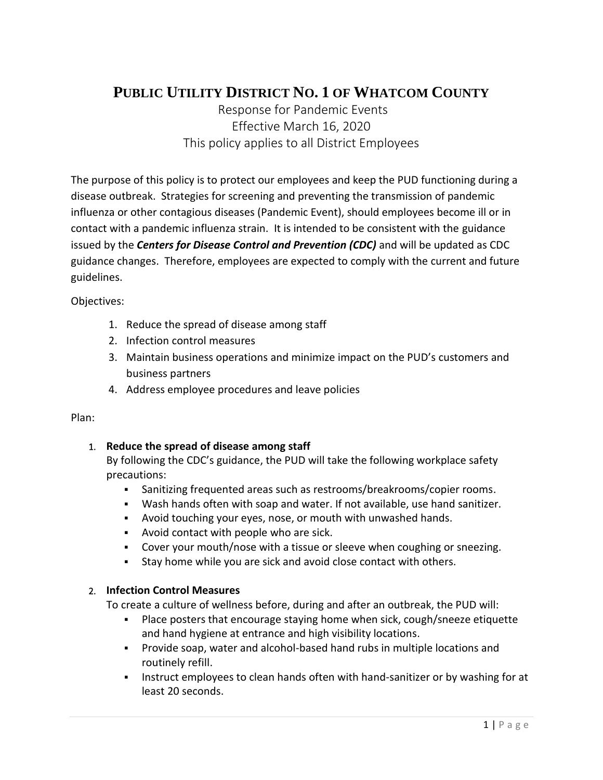# **PUBLIC UTILITY DISTRICT NO. 1 OF WHATCOM COUNTY**

Response for Pandemic Events Effective March 16, 2020 This policy applies to all District Employees

The purpose of this policy is to protect our employees and keep the PUD functioning during a disease outbreak. Strategies for screening and preventing the transmission of pandemic influenza or other contagious diseases (Pandemic Event), should employees become ill or in contact with a pandemic influenza strain. It is intended to be consistent with the guidance issued by the *Centers for Disease Control and Prevention (CDC)* and will be updated as CDC guidance changes. Therefore, employees are expected to comply with the current and future guidelines.

Objectives:

- 1. Reduce the spread of disease among staff
- 2. Infection control measures
- 3. Maintain business operations and minimize impact on the PUD's customers and business partners
- 4. Address employee procedures and leave policies

#### Plan:

# 1. **Reduce the spread of disease among staff**

By following the CDC's guidance, the PUD will take the following workplace safety precautions:

- Sanitizing frequented areas such as restrooms/breakrooms/copier rooms.
- Wash hands often with soap and water. If not available, use hand sanitizer.
- Avoid touching your eyes, nose, or mouth with unwashed hands.
- Avoid contact with people who are sick.
- Cover your mouth/nose with a tissue or sleeve when coughing or sneezing.
- Stay home while you are sick and avoid close contact with others.

# 2. **Infection Control Measures**

To create a culture of wellness before, during and after an outbreak, the PUD will:

- Place posters that encourage staying home when sick, cough/sneeze etiquette and hand hygiene at entrance and high visibility locations.
- Provide soap, water and alcohol-based hand rubs in multiple locations and routinely refill.
- **Instruct employees to clean hands often with hand-sanitizer or by washing for at** least 20 seconds.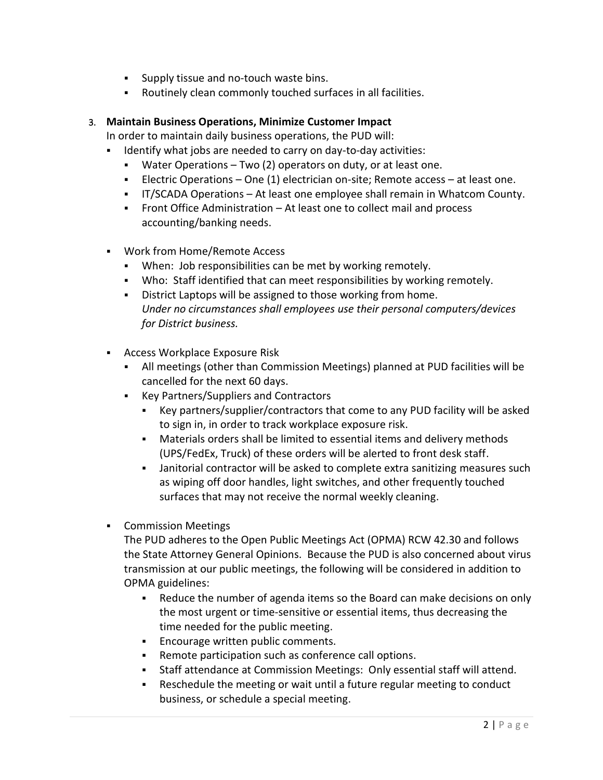- **Supply tissue and no-touch waste bins.**
- Routinely clean commonly touched surfaces in all facilities.

## 3. **Maintain Business Operations, Minimize Customer Impact**

In order to maintain daily business operations, the PUD will:

- Identify what jobs are needed to carry on day-to-day activities:
	- Water Operations Two (2) operators on duty, or at least one.
	- **Electric Operations One (1) electrician on-site; Remote access at least one.**
	- IT/SCADA Operations At least one employee shall remain in Whatcom County.
	- Front Office Administration At least one to collect mail and process accounting/banking needs.
- Work from Home/Remote Access
	- When: Job responsibilities can be met by working remotely.
	- Who: Staff identified that can meet responsibilities by working remotely.
	- **District Laptops will be assigned to those working from home.** *Under no circumstances shall employees use their personal computers/devices for District business.*
- **Access Workplace Exposure Risk** 
	- All meetings (other than Commission Meetings) planned at PUD facilities will be cancelled for the next 60 days.
	- Key Partners/Suppliers and Contractors
		- Key partners/supplier/contractors that come to any PUD facility will be asked to sign in, in order to track workplace exposure risk.
		- Materials orders shall be limited to essential items and delivery methods (UPS/FedEx, Truck) of these orders will be alerted to front desk staff.
		- Janitorial contractor will be asked to complete extra sanitizing measures such as wiping off door handles, light switches, and other frequently touched surfaces that may not receive the normal weekly cleaning.
- **•** Commission Meetings

The PUD adheres to the Open Public Meetings Act (OPMA) RCW 42.30 and follows the State Attorney General Opinions. Because the PUD is also concerned about virus transmission at our public meetings, the following will be considered in addition to OPMA guidelines:

- Reduce the number of agenda items so the Board can make decisions on only the most urgent or time-sensitive or essential items, thus decreasing the time needed for the public meeting.
- **Encourage written public comments.**
- Remote participation such as conference call options.
- Staff attendance at Commission Meetings: Only essential staff will attend.
- Reschedule the meeting or wait until a future regular meeting to conduct business, or schedule a special meeting.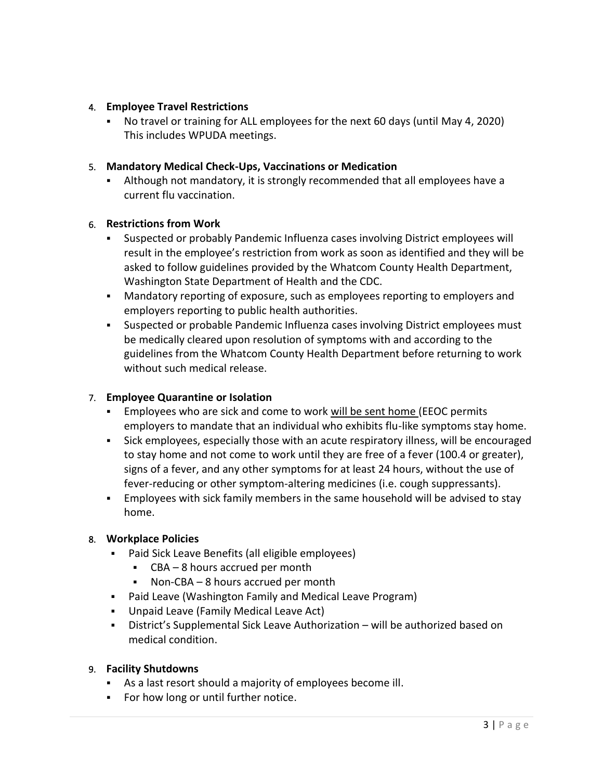# 4. **Employee Travel Restrictions**

 No travel or training for ALL employees for the next 60 days (until May 4, 2020) This includes WPUDA meetings.

## 5. **Mandatory Medical Check-Ups, Vaccinations or Medication**

 Although not mandatory, it is strongly recommended that all employees have a current flu vaccination.

#### 6. **Restrictions from Work**

- Suspected or probably Pandemic Influenza cases involving District employees will result in the employee's restriction from work as soon as identified and they will be asked to follow guidelines provided by the Whatcom County Health Department, Washington State Department of Health and the CDC.
- Mandatory reporting of exposure, such as employees reporting to employers and employers reporting to public health authorities.
- Suspected or probable Pandemic Influenza cases involving District employees must be medically cleared upon resolution of symptoms with and according to the guidelines from the Whatcom County Health Department before returning to work without such medical release.

#### 7. **Employee Quarantine or Isolation**

- Employees who are sick and come to work will be sent home (EEOC permits employers to mandate that an individual who exhibits flu-like symptoms stay home.
- Sick employees, especially those with an acute respiratory illness, will be encouraged to stay home and not come to work until they are free of a fever (100.4 or greater), signs of a fever, and any other symptoms for at least 24 hours, without the use of fever-reducing or other symptom-altering medicines (i.e. cough suppressants).
- Employees with sick family members in the same household will be advised to stay home.

#### 8. **Workplace Policies**

- Paid Sick Leave Benefits (all eligible employees)
	- CBA 8 hours accrued per month
	- Non-CBA 8 hours accrued per month
- Paid Leave (Washington Family and Medical Leave Program)
- Unpaid Leave (Family Medical Leave Act)
- District's Supplemental Sick Leave Authorization will be authorized based on medical condition.

#### 9. **Facility Shutdowns**

- As a last resort should a majority of employees become ill.
- For how long or until further notice.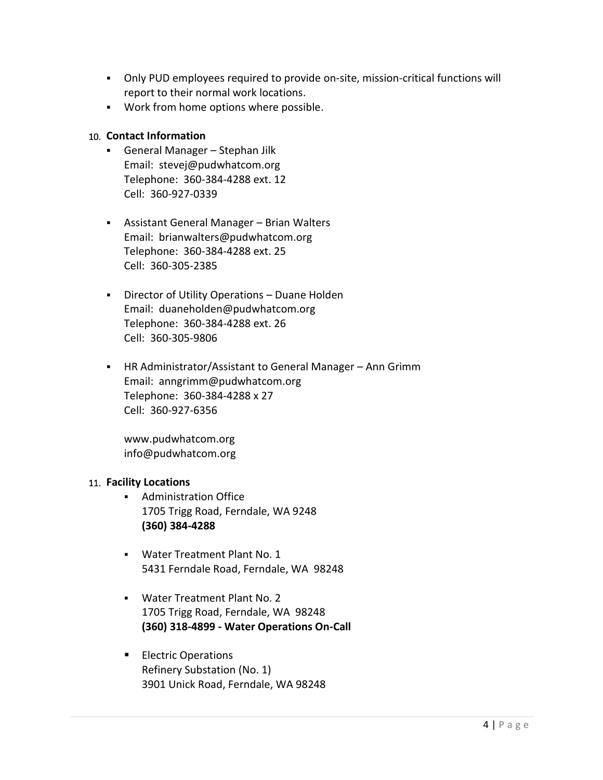- Only PUD employees required to provide on-site, mission-critical functions will report to their normal work locations.
- Work from home options where possible.

#### 10. **Contact Information**

- General Manager Stephan Jilk Email: stevej@pudwhatcom.org Telephone: 360-384-4288 ext. 12 Cell: 360-927-0339
- Assistant General Manager Brian Walters Email: brianwalters@pudwhatcom.org Telephone: 360-384-4288 ext. 25 Cell: 360-305-2385
- Director of Utility Operations Duane Holden Email: duaneholden@pudwhatcom.org Telephone: 360-384-4288 ext. 26 Cell: 360-305-9806
- HR Administrator/Assistant to General Manager Ann Grimm Email: anngrimm@pudwhatcom.org Telephone: 360-384-4288 x 27 Cell: 360-927-6356

www.pudwhatcom.org info@pudwhatcom.org

#### 11. **Facility Locations**

- Administration Office 1705 Trigg Road, Ferndale, WA 9248 **(360) 384-4288**
- Water Treatment Plant No. 1 5431 Ferndale Road, Ferndale, WA 98248
- Water Treatment Plant No. 2 1705 Trigg Road, Ferndale, WA 98248 **(360) 318-4899 - Water Operations On-Call**
- **Electric Operations** Refinery Substation (No. 1) 3901 Unick Road, Ferndale, WA 98248